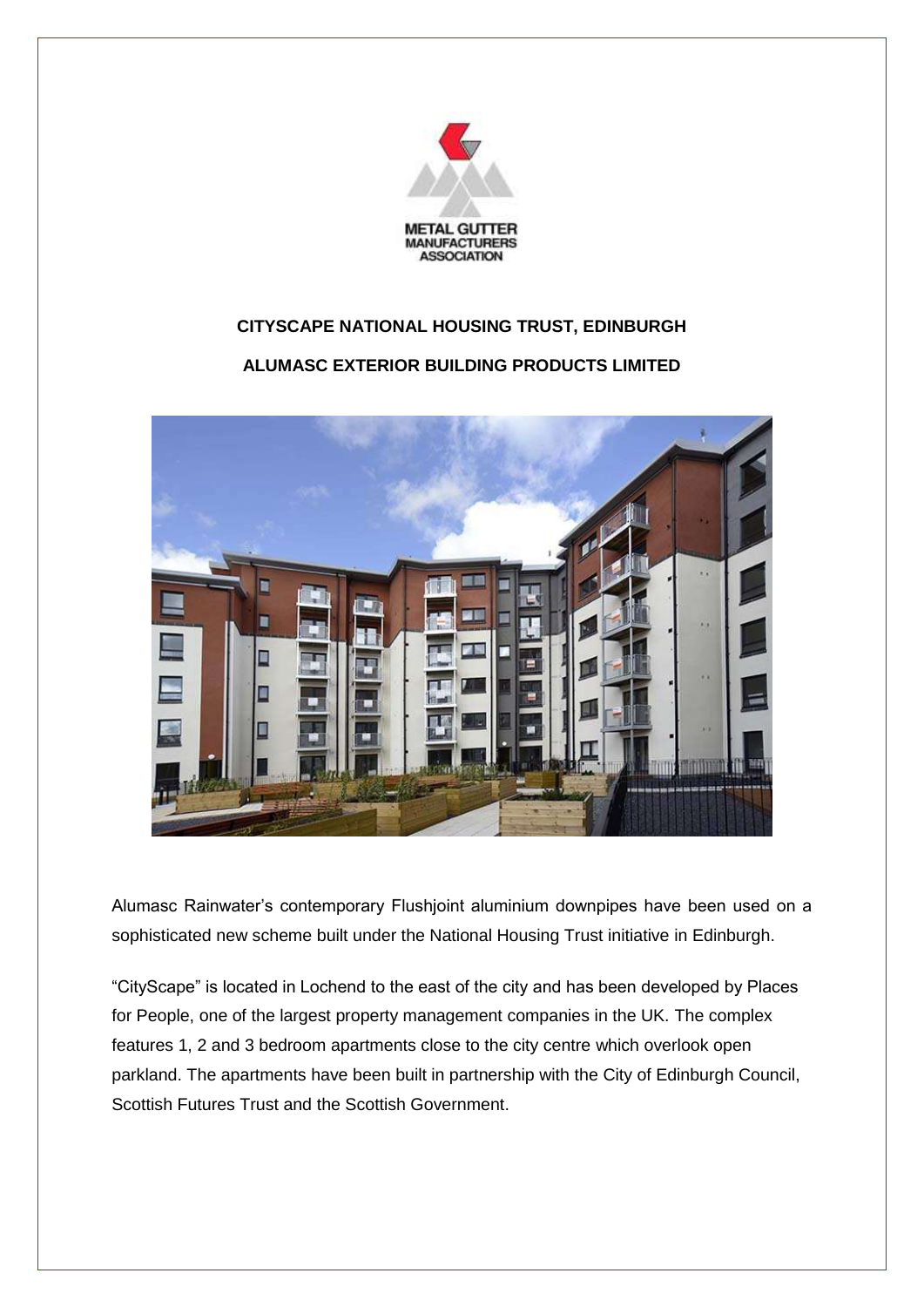

## **CITYSCAPE NATIONAL HOUSING TRUST, EDINBURGH**

## **ALUMASC EXTERIOR BUILDING PRODUCTS LIMITED**



Alumasc Rainwater's contemporary Flushjoint aluminium downpipes have been used on a sophisticated new scheme built under the National Housing Trust initiative in Edinburgh.

"CityScape" is located in Lochend to the east of the city and has been developed by Places for People, one of the largest property management companies in the UK. The complex features 1, 2 and 3 bedroom apartments close to the city centre which overlook open parkland. The apartments have been built in partnership with the City of Edinburgh Council, Scottish Futures Trust and the Scottish Government.